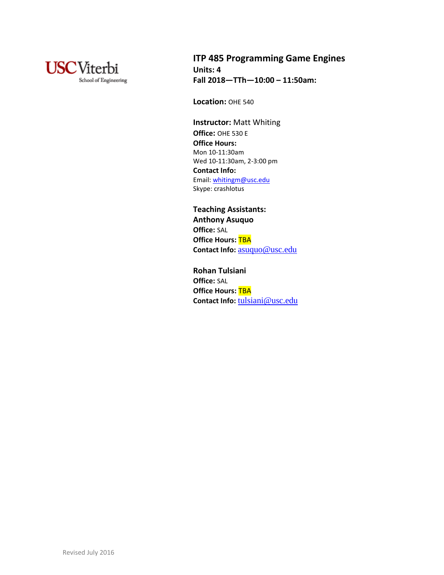

# **ITP 485 Programming Game Engines Units: 4 Fall 2018—TTh—10:00 – 11:50am:**

**Location:** OHE 540

**Instructor:** Matt Whiting **Office:** OHE 530 E **Office Hours:** Mon 10-11:30am Wed 10-11:30am, 2-3:00 pm **Contact Info:** Email[: whitingm@usc.edu](mailto:whitingm@usc.edu) Skype: crashlotus

**Teaching Assistants: Anthony Asuquo Office:** SAL **Office Hours: TBA Contact Info:** [asuquo@usc.edu](mailto:asuquo@usc.edu)

**Rohan Tulsiani Office:** SAL **Office Hours: TBA** Contact Info: [tulsiani@usc.edu](mailto:tulsiani@usc.edu)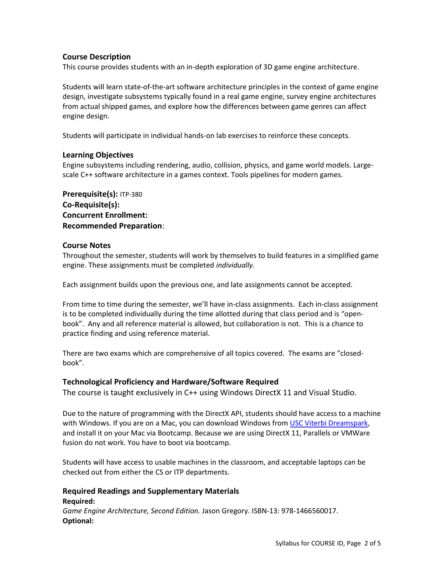# **Course Description**

This course provides students with an in-depth exploration of 3D game engine architecture.

Students will learn state-of-the-art software architecture principles in the context of game engine design, investigate subsystems typically found in a real game engine, survey engine architectures from actual shipped games, and explore how the differences between game genres can affect engine design.

Students will participate in individual hands-on lab exercises to reinforce these concepts.

# **Learning Objectives**

Engine subsystems including rendering, audio, collision, physics, and game world models. Largescale C++ software architecture in a games context. Tools pipelines for modern games.

**Prerequisite(s):** ITP-380 **Co-Requisite(s): Concurrent Enrollment: Recommended Preparation**:

# **Course Notes**

Throughout the semester, students will work by themselves to build features in a simplified game engine. These assignments must be completed *individually*.

Each assignment builds upon the previous one, and late assignments cannot be accepted.

From time to time during the semester, we'll have in-class assignments. Each in-class assignment is to be completed individually during the time allotted during that class period and is "openbook". Any and all reference material is allowed, but collaboration is not. This is a chance to practice finding and using reference material.

There are two exams which are comprehensive of all topics covered. The exams are "closedbook".

## **Technological Proficiency and Hardware/Software Required**

The course is taught exclusively in C++ using Windows DirectX 11 and Visual Studio.

Due to the nature of programming with the DirectX API, students should have access to a machine with Windows. If you are on a Mac, you can download Windows from [USC Viterbi Dreamspark,](http://viterbi.usc.edu/resources/vit/services/dreamspark.htm) and install it on your Mac via Bootcamp. Because we are using DirectX 11, Parallels or VMWare fusion do not work. You have to boot via bootcamp.

Students will have access to usable machines in the classroom, and acceptable laptops can be checked out from either the CS or ITP departments.

### **Required Readings and Supplementary Materials Required:**

*Game Engine Architecture, Second Edition.* Jason Gregory. ISBN-13: 978-1466560017. **Optional:**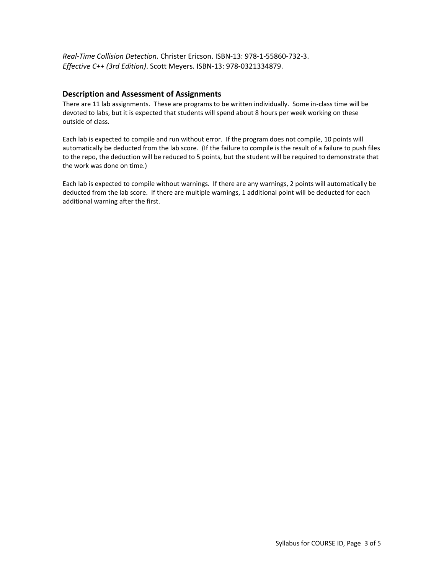*Real-Time Collision Detection*. Christer Ericson. ISBN-13: 978-1-55860-732-3. *Effective C++ (3rd Edition)*. Scott Meyers. ISBN-13: 978-0321334879.

## **Description and Assessment of Assignments**

There are 11 lab assignments. These are programs to be written individually. Some in-class time will be devoted to labs, but it is expected that students will spend about 8 hours per week working on these outside of class.

Each lab is expected to compile and run without error. If the program does not compile, 10 points will automatically be deducted from the lab score. (If the failure to compile is the result of a failure to push files to the repo, the deduction will be reduced to 5 points, but the student will be required to demonstrate that the work was done on time.)

Each lab is expected to compile without warnings. If there are any warnings, 2 points will automatically be deducted from the lab score. If there are multiple warnings, 1 additional point will be deducted for each additional warning after the first.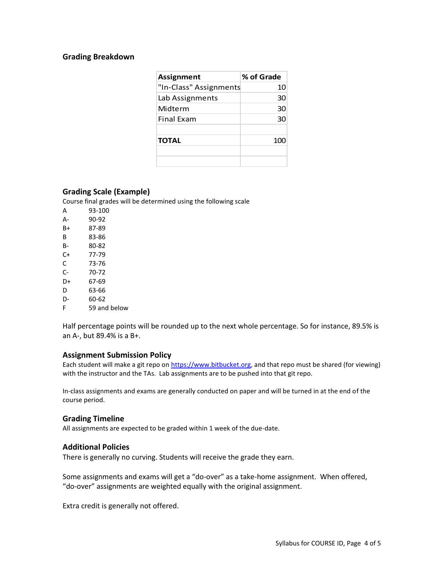### **Grading Breakdown**

| <b>Assignment</b>      | % of Grade |
|------------------------|------------|
| "In-Class" Assignments | 10         |
| Lab Assignments        | 30         |
| Midterm                | 30         |
| <b>Final Exam</b>      | 30         |
|                        |            |
| <b>TOTAL</b>           | 100        |
|                        |            |
|                        |            |

## **Grading Scale (Example)**

Course final grades will be determined using the following scale

| А  | 93-100       |
|----|--------------|
| А- | 90-92        |
| B+ | 87-89        |
| В  | 83-86        |
| B- | 80-82        |
| C+ | 77-79        |
| C  | 73-76        |
| C- | 70-72        |
| D+ | 67-69        |
| D  | 63-66        |
| D- | 60-62        |
| F  | 59 and below |

Half percentage points will be rounded up to the next whole percentage. So for instance, 89.5% is an A-, but 89.4% is a B+.

### **Assignment Submission Policy**

Each student will make a git repo on [https://www.bitbucket.org,](https://www.bitbucket.org/) and that repo must be shared (for viewing) with the instructor and the TAs. Lab assignments are to be pushed into that git repo.

In-class assignments and exams are generally conducted on paper and will be turned in at the end of the course period.

#### **Grading Timeline**

All assignments are expected to be graded within 1 week of the due-date.

### **Additional Policies**

There is generally no curving. Students will receive the grade they earn.

Some assignments and exams will get a "do-over" as a take-home assignment. When offered, "do-over" assignments are weighted equally with the original assignment.

Extra credit is generally not offered.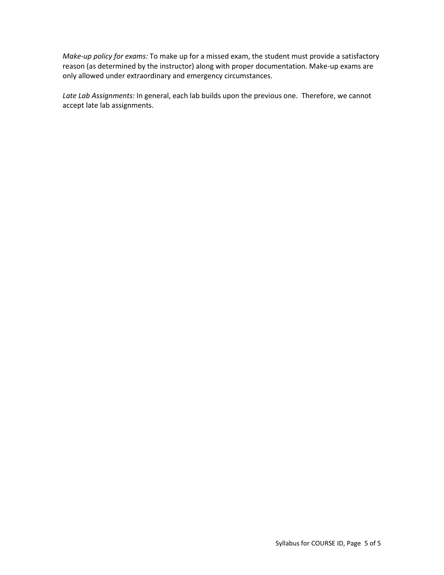*Make-up policy for exams:* To make up for a missed exam, the student must provide a satisfactory reason (as determined by the instructor) along with proper documentation. Make-up exams are only allowed under extraordinary and emergency circumstances.

*Late Lab Assignments:* In general, each lab builds upon the previous one. Therefore, we cannot accept late lab assignments.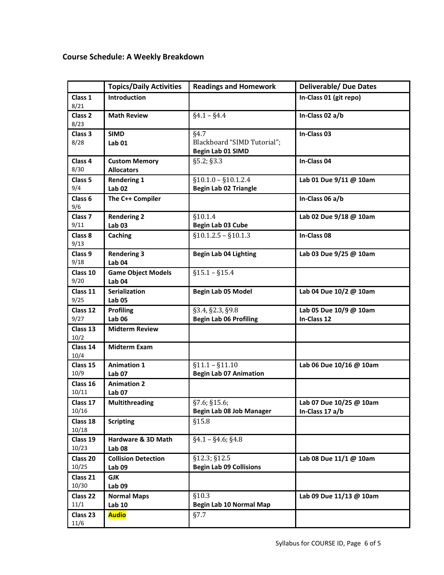# **Course Schedule: A Weekly Breakdown**

|                            | <b>Topics/Daily Activities</b>                  | <b>Readings and Homework</b>                             | <b>Deliverable/ Due Dates</b>              |
|----------------------------|-------------------------------------------------|----------------------------------------------------------|--------------------------------------------|
| Class 1<br>8/21            | Introduction                                    |                                                          | In-Class 01 (git repo)                     |
| Class <sub>2</sub><br>8/23 | <b>Math Review</b>                              | $§4.1 - §4.4$                                            | In-Class 02 a/b                            |
| Class 3<br>8/28            | <b>SIMD</b><br><b>Lab 01</b>                    | §4.7<br>Blackboard "SIMD Tutorial";<br>Begin Lab 01 SIMD | In-Class 03                                |
| Class 4<br>8/30            | <b>Custom Memory</b><br><b>Allocators</b>       | §5.2; §3.3                                               | In-Class 04                                |
| Class <sub>5</sub><br>9/4  | <b>Rendering 1</b><br><b>Lab 02</b>             | $$10.1.0 - $10.1.2.4$<br><b>Begin Lab 02 Triangle</b>    | Lab 01 Due 9/11 @ 10am                     |
| Class <sub>6</sub><br>9/6  | The C++ Compiler                                |                                                          | In-Class 06 a/b                            |
| Class <sub>7</sub><br>9/11 | <b>Rendering 2</b><br><b>Lab 03</b>             | §10.1.4<br>Begin Lab 03 Cube                             | Lab 02 Due 9/18 @ 10am                     |
| Class 8<br>9/13            | Caching                                         | $$10.1.2.5 - $10.1.3$                                    | In-Class 08                                |
| Class 9<br>9/18            | <b>Rendering 3</b><br>Lab <sub>04</sub>         | <b>Begin Lab 04 Lighting</b>                             | Lab 03 Due 9/25 @ 10am                     |
| Class 10<br>9/20           | <b>Game Object Models</b><br>Lab <sub>04</sub>  | $§15.1 - §15.4$                                          |                                            |
| Class 11<br>9/25           | <b>Serialization</b><br><b>Lab 05</b>           | Begin Lab 05 Model                                       | Lab 04 Due 10/2 @ 10am                     |
| Class 12<br>9/27           | <b>Profiling</b><br><b>Lab 06</b>               | §3.4, §2.3, §9.8<br><b>Begin Lab 06 Profiling</b>        | Lab 05 Due 10/9 @ 10am<br>In-Class 12      |
| Class 13<br>10/2           | <b>Midterm Review</b>                           |                                                          |                                            |
| Class 14<br>10/4           | <b>Midterm Exam</b>                             |                                                          |                                            |
| Class 15<br>10/9           | <b>Animation 1</b><br><b>Lab 07</b>             | $§11.1 - §11.10$<br><b>Begin Lab 07 Animation</b>        | Lab 06 Due 10/16 @ 10am                    |
| Class 16<br>10/11          | <b>Animation 2</b><br><b>Lab 07</b>             |                                                          |                                            |
| Class 17<br>10/16          | <b>Multithreading</b>                           | §7.6; §15.6;<br>Begin Lab 08 Job Manager                 | Lab 07 Due 10/25 @ 10am<br>In-Class 17 a/b |
| Class 18<br>10/18          | <b>Scripting</b>                                | \$15.8                                                   |                                            |
| Class 19<br>10/23          | Hardware & 3D Math<br>Lab <sub>08</sub>         | $§4.1 - §4.6; §4.8$                                      |                                            |
| Class 20<br>10/25          | <b>Collision Detection</b><br>Lab <sub>09</sub> | §12.3; §12.5<br><b>Begin Lab 09 Collisions</b>           | Lab 08 Due 11/1 @ 10am                     |
| Class 21<br>10/30          | <b>GJK</b><br>Lab <sub>09</sub>                 |                                                          |                                            |
| Class 22<br>11/1           | <b>Normal Maps</b><br><b>Lab 10</b>             | \$10.3\$<br><b>Begin Lab 10 Normal Map</b>               | Lab 09 Due 11/13 @ 10am                    |
| Class 23<br>11/6           | <b>Audio</b>                                    | §7.7                                                     |                                            |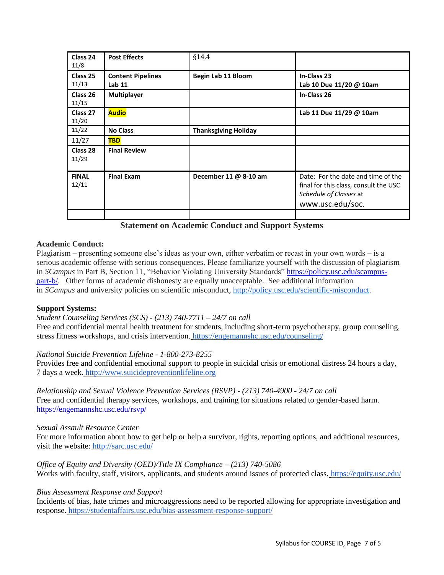| Class 24<br>11/8      | <b>Post Effects</b>                           | §14.4                       |                                                                                                                           |
|-----------------------|-----------------------------------------------|-----------------------------|---------------------------------------------------------------------------------------------------------------------------|
| Class 25<br>11/13     | <b>Content Pipelines</b><br>Lab <sub>11</sub> | Begin Lab 11 Bloom          | In-Class 23<br>Lab 10 Due 11/20 @ 10am                                                                                    |
| Class 26<br>11/15     | <b>Multiplayer</b>                            |                             | In-Class 26                                                                                                               |
| Class 27<br>11/20     | <b>Audio</b>                                  |                             | Lab 11 Due 11/29 @ 10am                                                                                                   |
| 11/22                 | <b>No Class</b>                               | <b>Thanksgiving Holiday</b> |                                                                                                                           |
| 11/27                 | <b>TBD</b>                                    |                             |                                                                                                                           |
| Class 28<br>11/29     | <b>Final Review</b>                           |                             |                                                                                                                           |
| <b>FINAL</b><br>12/11 | <b>Final Exam</b>                             | December 11 @ 8-10 am       | Date: For the date and time of the<br>final for this class, consult the USC<br>Schedule of Classes at<br>www.usc.edu/soc. |
|                       |                                               |                             |                                                                                                                           |

| <b>Statement on Academic Conduct and Support Systems</b> |  |
|----------------------------------------------------------|--|
|----------------------------------------------------------|--|

## **Academic Conduct:**

Plagiarism – presenting someone else's ideas as your own, either verbatim or recast in your own words – is a serious academic offense with serious consequences. Please familiarize yourself with the discussion of plagiarism in *SCampus* in Part B, Section 11, "Behavior Violating University Standards" [https://policy.usc.edu/scampus](https://policy.usc.edu/scampus-part-b/)[part-b/.](https://policy.usc.edu/scampus-part-b/) Other forms of academic dishonesty are equally unacceptable. See additional information in *SCampus* and university policies on scientific misconduct, [http://policy.usc.edu/scientific-misconduct.](http://policy.usc.edu/scientific-misconduct/)

## **Support Systems:**

## *Student Counseling Services (SCS) - (213) 740-7711 – 24/7 on call*

Free and confidential mental health treatment for students, including short-term psychotherapy, group counseling, stress fitness workshops, and crisis intervention. <https://engemannshc.usc.edu/counseling/>

## *National Suicide Prevention Lifeline - 1-800-273-8255*

Provides free and confidential emotional support to people in suicidal crisis or emotional distress 24 hours a day, 7 days a week. [http://www.suicidepreventionlifeline.org](http://www.suicidepreventionlifeline.org/)

*Relationship and Sexual Violence Prevention Services (RSVP) - (213) 740-4900 - 24/7 on call* Free and confidential therapy services, workshops, and training for situations related to gender-based harm. <https://engemannshc.usc.edu/rsvp/>

## *Sexual Assault Resource Center*

For more information about how to get help or help a survivor, rights, reporting options, and additional resources, visit the website: <http://sarc.usc.edu/>

*Office of Equity and Diversity (OED)/Title IX Compliance – (213) 740-5086* Works with faculty, staff, visitors, applicants, and students around issues of protected class. <https://equity.usc.edu/>

## *Bias Assessment Response and Support*

Incidents of bias, hate crimes and microaggressions need to be reported allowing for appropriate investigation and response. <https://studentaffairs.usc.edu/bias-assessment-response-support/>